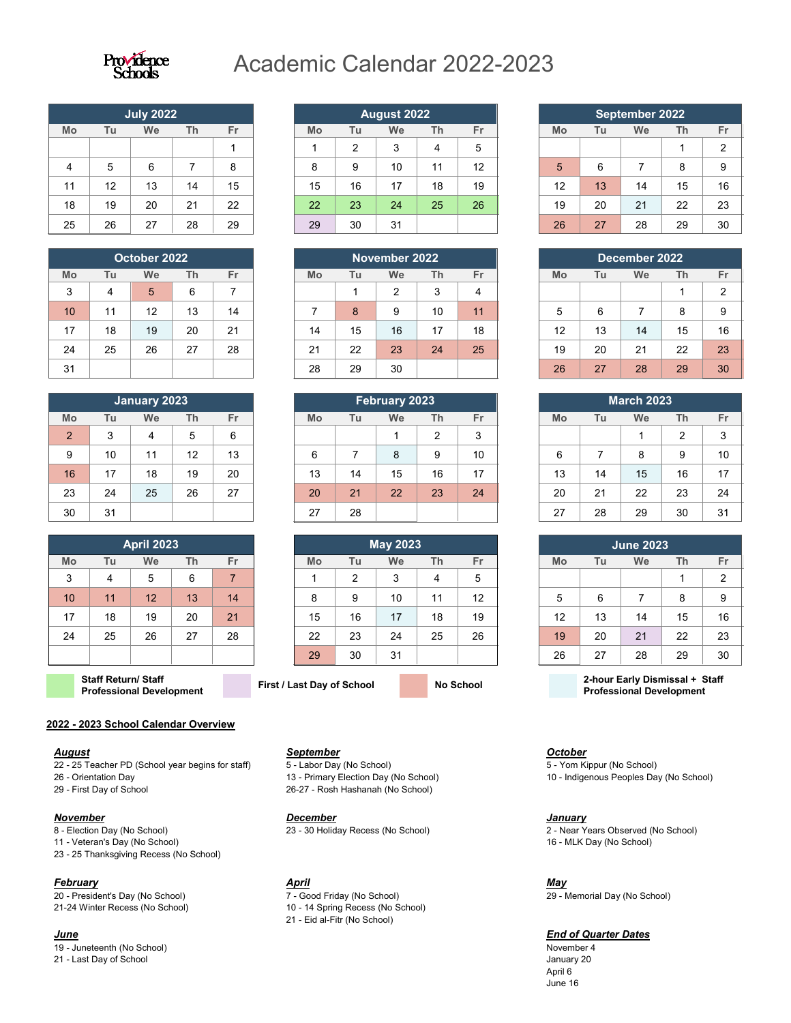

# Academic Calendar 2022-2023

|    |    | <b>July 2022</b> |    |    |
|----|----|------------------|----|----|
| Mo | Tu | We               | Th | Fr |
|    |    |                  |    |    |
|    | 5  | 6                |    | 8  |
| 11 | 12 | 13               | 14 | 15 |
| 18 | 19 | 20               | 21 | 22 |
| 25 | 26 | 27               | 28 | 29 |

| October 2022 |    |    |    |    |  |
|--------------|----|----|----|----|--|
| Mo           | Tu | We | Th | Fr |  |
| 3            |    | 5  | 6  | 7  |  |
| 10           | 11 | 12 | 13 | 14 |  |
| 17           | 18 | 19 | 20 | 21 |  |
| 24           | 25 | 26 | 27 | 28 |  |
| 31           |    |    |    |    |  |

| <b>January 2023</b> |    |    |    |    |
|---------------------|----|----|----|----|
| Mo                  | Tu | We | Th | Fr |
| $\overline{2}$      | 3  |    | 5  | 6  |
| 9                   | 10 | 11 | 12 | 13 |
| 16                  | 17 | 18 | 19 | 20 |
| 23                  | 24 | 25 | 26 | 27 |
| 30                  | 31 |    |    |    |

| <b>April 2023</b> |    |    |    |    |
|-------------------|----|----|----|----|
| Mo                | Tu | We | Th | Fr |
| 3                 | 4  | 5  | 6  | 7  |
| 10                | 11 | 12 | 13 | 14 |
| 17                | 18 | 19 | 20 | 21 |
| 24                | 25 | 26 | 27 | 28 |
|                   |    |    |    |    |

**Staff Return/ Staff** 

#### **2022 - 2023 School Calendar Overview**

#### *August*

22 - 25 Teacher PD (School year begins for staff)

- 26 Orientation Day
- 29 First Day of School

#### *November*

- 8 Election Day (No School)
- 11 Veteran's Day (No School) 23 - 25 Thanksgiving Recess (No School)
- 

#### *February*

20 - President's Day (No School) 21-24 Winter Recess (No School)

### *June*

19 - Juneteenth (No School) 21 - Last Day of School

| <b>August 2022</b> |    |    |    |    |  |
|--------------------|----|----|----|----|--|
| Mo                 | Tu | We | Th | Fr |  |
|                    | 2  | 3  |    | 5  |  |
| 8                  | 9  | 10 | 11 | 12 |  |
| 15                 | 16 | 17 | 18 | 19 |  |
| 22                 | 23 | 24 | 25 | 26 |  |
| 29                 | 30 | 31 |    |    |  |

| November 2022 |    |    |    |    |
|---------------|----|----|----|----|
| Mo            | Tu | We | Th | Fr |
|               |    | 2  | 3  |    |
| 7             | 8  | 9  | 10 | 11 |
| 14            | 15 | 16 | 17 | 18 |
| 21            | 22 | 23 | 24 | 25 |
| 28            | 29 | 30 |    |    |

| <b>February 2023</b> |    |    |                |    |
|----------------------|----|----|----------------|----|
| Mo                   | Tu | We | Th             | Fr |
|                      |    |    | $\overline{2}$ | 3  |
| 6                    | 7  | 8  | 9              | 10 |
| 13                   | 14 | 15 | 16             | 17 |
| 20                   | 21 | 22 | 23             | 24 |
| 27                   | 28 |    |                |    |

| <b>May 2023</b> |    |    |    |    |
|-----------------|----|----|----|----|
| Mo              | Tu | We | Th | Fr |
|                 | 2  | 3  | 4  | 5  |
| 8               | 9  | 10 | 11 | 12 |
| 15              | 16 | 17 | 18 | 19 |
| 22              | 23 | 24 | 25 | 26 |
| 29              | 30 | 31 |    |    |

*September*

*December*

*April*

5 - Labor Day (No School)

13 - Primary Election Day (No School) 26-27 - Rosh Hashanah (No School)

23 - 30 Holiday Recess (No School)

7 - Good Friday (No School) 10 - 14 Spring Recess (No School) 21 - Eid al-Fitr (No School)

| September 2022 |    |    |    |                |
|----------------|----|----|----|----------------|
| Mo             | Tu | We | Th | Fr             |
|                |    |    |    | $\overline{2}$ |
| 5              | 6  |    | 8  | 9              |
| 12             | 13 | 14 | 15 | 16             |
| 19             | 20 | 21 | 22 | 23             |
| 26             | 27 | 28 | 29 | 30             |

| December 2022 |    |    |    |    |  |
|---------------|----|----|----|----|--|
| Mo            | Tu | We | Th | Fr |  |
|               |    |    |    | 2  |  |
| 5             | 6  | 7  | 8  | 9  |  |
| 12            | 13 | 14 | 15 | 16 |  |
| 19            | 20 | 21 | 22 | 23 |  |
| 26            | 27 | 28 | 29 | 30 |  |

| <b>March 2023</b> |    |    |                |    |  |
|-------------------|----|----|----------------|----|--|
| Mo                | Tu | We | Th             | Fr |  |
|                   |    |    | $\overline{2}$ | 3  |  |
| 6                 | 7  | 8  | 9              | 10 |  |
| 13                | 14 | 15 | 16             | 17 |  |
| 20                | 21 | 22 | 23             | 24 |  |
| 27                | 28 | 29 | 30             | 31 |  |

| <b>June 2023</b> |    |    |    |                |  |
|------------------|----|----|----|----------------|--|
| Mo               | Tu | We | Th | Fr             |  |
|                  |    |    |    | $\overline{2}$ |  |
| 5                | 6  | 7  | 8  | 9              |  |
| 12               | 13 | 14 | 15 | 16             |  |
| 19               | 20 | 21 | 22 | 23             |  |
| 26               | 27 | 28 | 29 | 30             |  |

**Professional Development First / Last Day of School No School 2-hour Early Dismissal + Staff Professional Development**

*October* 5 - Yom Kippur (No School) 10 - Indigenous Peoples Day (No School)

#### *January*

2 - Near Years Observed (No School) 16 - MLK Day (No School)

*May*

29 - Memorial Day (No School)

### *End of Quarter Dates*

November 4 January 20 April 6 June 16